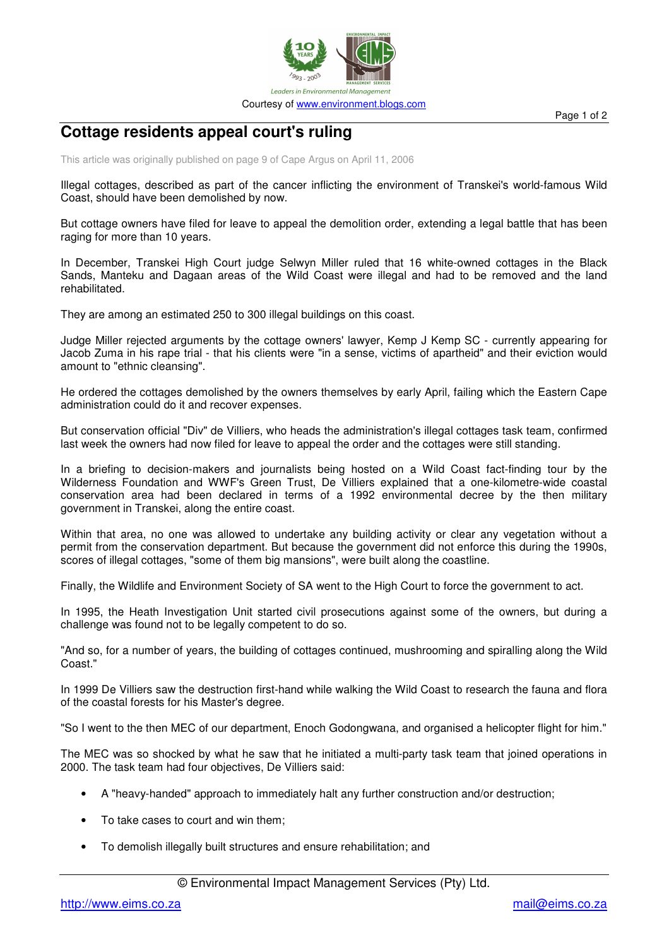

## **Cottage residents appeal court's ruling**

This article was originally published on page 9 of Cape Argus on April 11, 2006

Illegal cottages, described as part of the cancer inflicting the environment of Transkei's world-famous Wild Coast, should have been demolished by now.

But cottage owners have filed for leave to appeal the demolition order, extending a legal battle that has been raging for more than 10 years.

In December, Transkei High Court judge Selwyn Miller ruled that 16 white-owned cottages in the Black Sands, Manteku and Dagaan areas of the Wild Coast were illegal and had to be removed and the land rehabilitated.

They are among an estimated 250 to 300 illegal buildings on this coast.

Judge Miller rejected arguments by the cottage owners' lawyer, Kemp J Kemp SC - currently appearing for Jacob Zuma in his rape trial - that his clients were "in a sense, victims of apartheid" and their eviction would amount to "ethnic cleansing".

He ordered the cottages demolished by the owners themselves by early April, failing which the Eastern Cape administration could do it and recover expenses.

But conservation official "Div" de Villiers, who heads the administration's illegal cottages task team, confirmed last week the owners had now filed for leave to appeal the order and the cottages were still standing.

In a briefing to decision-makers and journalists being hosted on a Wild Coast fact-finding tour by the Wilderness Foundation and WWF's Green Trust, De Villiers explained that a one-kilometre-wide coastal conservation area had been declared in terms of a 1992 environmental decree by the then military government in Transkei, along the entire coast.

Within that area, no one was allowed to undertake any building activity or clear any vegetation without a permit from the conservation department. But because the government did not enforce this during the 1990s, scores of illegal cottages, "some of them big mansions", were built along the coastline.

Finally, the Wildlife and Environment Society of SA went to the High Court to force the government to act.

In 1995, the Heath Investigation Unit started civil prosecutions against some of the owners, but during a challenge was found not to be legally competent to do so.

"And so, for a number of years, the building of cottages continued, mushrooming and spiralling along the Wild Coast."

In 1999 De Villiers saw the destruction first-hand while walking the Wild Coast to research the fauna and flora of the coastal forests for his Master's degree.

"So I went to the then MEC of our department, Enoch Godongwana, and organised a helicopter flight for him."

The MEC was so shocked by what he saw that he initiated a multi-party task team that joined operations in 2000. The task team had four objectives, De Villiers said:

- A "heavy-handed" approach to immediately halt any further construction and/or destruction;
- To take cases to court and win them;
- To demolish illegally built structures and ensure rehabilitation; and